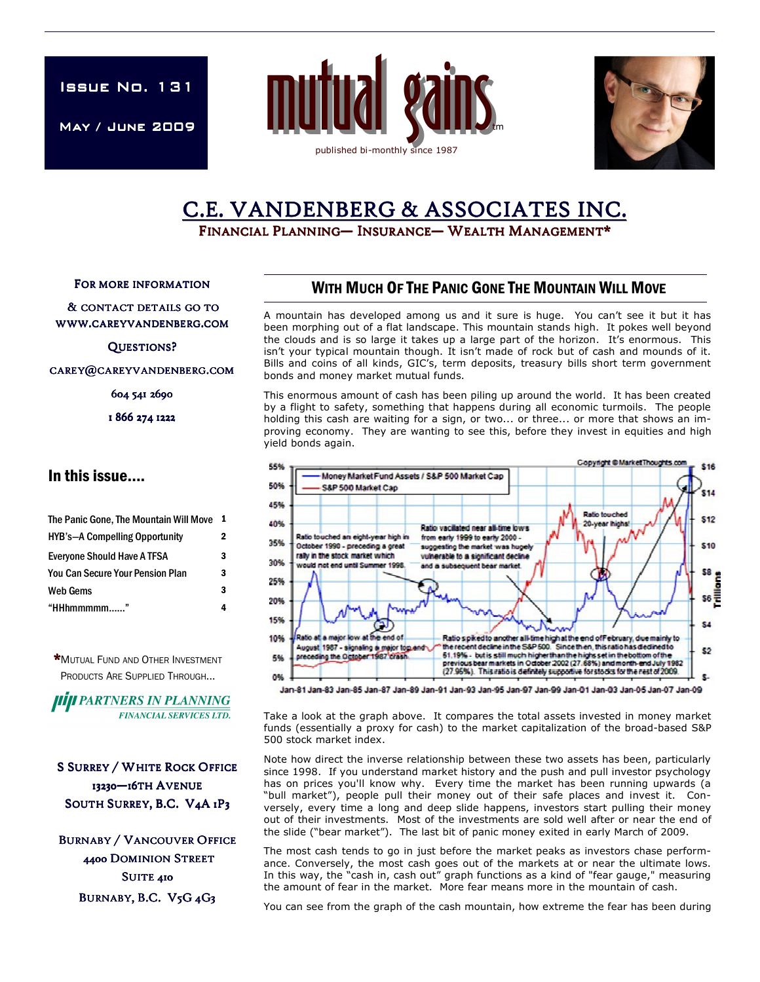**ISSUE No. 131** 

May / June 2009 May





# C.E. VANDENBERG & ASSOCIATES INC.

FINANCIAL PLANNING— INSURANCE— WEALTH MANAGEMENT\*

FOR MORE INFORMATION

& CONTACT DETAILS GO TO WWW.CAREYVANDENBERG.COM

QUESTIONS?

CAREY@CAREYVANDENBERG.COM

604 541 2690

1 866 274 1222

#### In this issue….

| The Panic Gone, The Mountain Will Move  | -1 |
|-----------------------------------------|----|
| <b>HYB's-A Compelling Opportunity</b>   | 2  |
| Everyone Should Have A TFSA             | 3  |
| <b>You Can Secure Your Pension Plan</b> | 3  |
| <b>Web Gems</b>                         | 3  |
| "HHhmmmmm"                              |    |

\*MUTUAL FUND AND OTHER INVESTMENT PRODUCTS ARE SUPPLIED THROUGH...

**IIIII** PARTNERS IN PLANNING **FINANCIAL SERVICES LTD.** 

**S SURREY / WHITE ROCK OFFICE** 13230-16TH AVENUE SOUTH SURREY, B.C. V4A 1P3

**BURNABY / VANCOUVER OFFICE** 4400 DOMINION STREET SUITE 410 BURNABY, B.C. V5G 4G3

## WITH MUCH OF THE PANIC GONE THE MOUNTAIN WILL MOVE

A mountain has developed among us and it sure is huge. You can't see it but it has been morphing out of a flat landscape. This mountain stands high. It pokes well beyond the clouds and is so large it takes up a large part of the horizon. It's enormous. This isn't your typical mountain though. It isn't made of rock but of cash and mounds of it. Bills and coins of all kinds, GIC's, term deposits, treasury bills short term government bonds and money market mutual funds.

This enormous amount of cash has been piling up around the world. It has been created by a flight to safety, something that happens during all economic turmoils. The people holding this cash are waiting for a sign, or two... or three... or more that shows an improving economy. They are wanting to see this, before they invest in equities and high yield bonds again.



Jan-81 Jan-83 Jan-85 Jan-87 Jan-89 Jan-91 Jan-93 Jan-95 Jan-97 Jan-99 Jan-01 Jan-03 Jan-05 Jan-07 Jan-09

Take a look at the graph above. It compares the total assets invested in money market funds (essentially a proxy for cash) to the market capitalization of the broad-based S&P 500 stock market index.

Note how direct the inverse relationship between these two assets has been, particularly since 1998. If you understand market history and the push and pull investor psychology has on prices you'll know why. Every time the market has been running upwards (a "bull market"), people pull their money out of their safe places and invest it. Conversely, every time a long and deep slide happens, investors start pulling their money out of their investments. Most of the investments are sold well after or near the end of the slide ("bear market"). The last bit of panic money exited in early March of 2009.

The most cash tends to go in just before the market peaks as investors chase performance. Conversely, the most cash goes out of the markets at or near the ultimate lows. In this way, the "cash in, cash out" graph functions as a kind of "fear gauge," measuring the amount of fear in the market. More fear means more in the mountain of cash.

You can see from the graph of the cash mountain, how extreme the fear has been during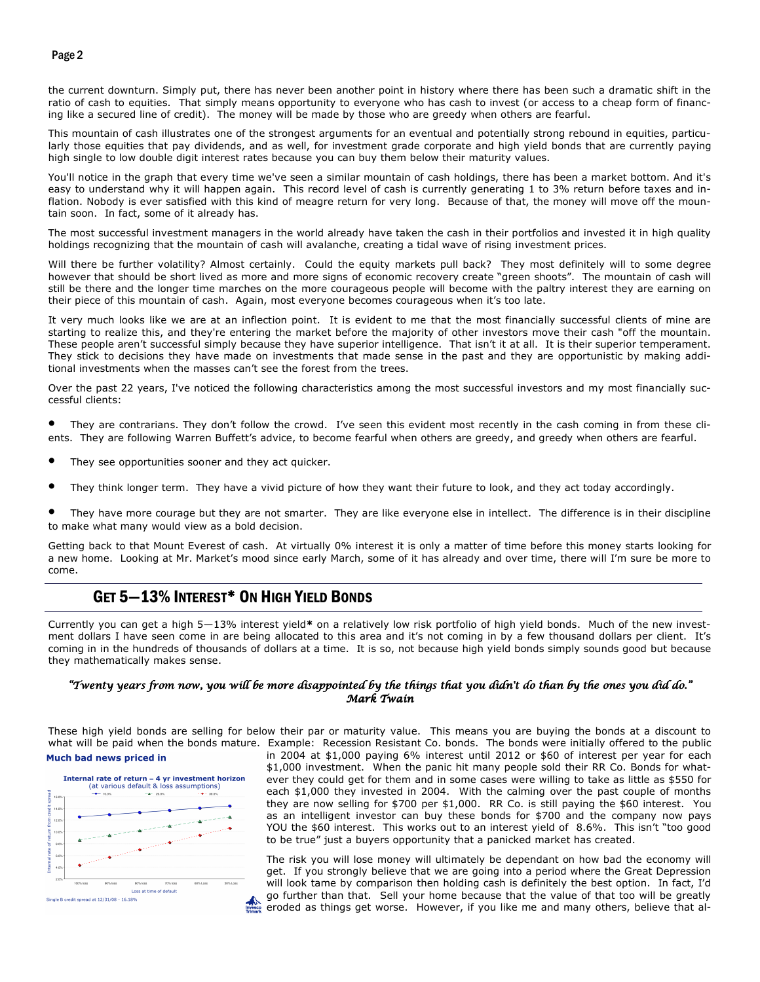#### Page 2

the current downturn. Simply put, there has never been another point in history where there has been such a dramatic shift in the ratio of cash to equities. That simply means opportunity to everyone who has cash to invest (or access to a cheap form of financing like a secured line of credit). The money will be made by those who are greedy when others are fearful.

This mountain of cash illustrates one of the strongest arguments for an eventual and potentially strong rebound in equities, particularly those equities that pay dividends, and as well, for investment grade corporate and high yield bonds that are currently paying high single to low double digit interest rates because you can buy them below their maturity values.

You'll notice in the graph that every time we've seen a similar mountain of cash holdings, there has been a market bottom. And it's easy to understand why it will happen again. This record level of cash is currently generating 1 to 3% return before taxes and inflation. Nobody is ever satisfied with this kind of meagre return for very long. Because of that, the money will move off the mountain soon. In fact, some of it already has.

The most successful investment managers in the world already have taken the cash in their portfolios and invested it in high quality holdings recognizing that the mountain of cash will avalanche, creating a tidal wave of rising investment prices.

Will there be further volatility? Almost certainly. Could the equity markets pull back? They most definitely will to some degree however that should be short lived as more and more signs of economic recovery create "green shoots". The mountain of cash will still be there and the longer time marches on the more courageous people will become with the paltry interest they are earning on their piece of this mountain of cash. Again, most everyone becomes courageous when it's too late.

It very much looks like we are at an inflection point. It is evident to me that the most financially successful clients of mine are starting to realize this, and they're entering the market before the majority of other investors move their cash "off the mountain. These people aren't successful simply because they have superior intelligence. That isn't it at all. It is their superior temperament. They stick to decisions they have made on investments that made sense in the past and they are opportunistic by making additional investments when the masses can't see the forest from the trees.

Over the past 22 years, I've noticed the following characteristics among the most successful investors and my most financially successful clients:

They are contrarians. They don't follow the crowd. I've seen this evident most recently in the cash coming in from these clients. They are following Warren Buffett's advice, to become fearful when others are greedy, and greedy when others are fearful.

- They see opportunities sooner and they act quicker.
- They think longer term. They have a vivid picture of how they want their future to look, and they act today accordingly.
- They have more courage but they are not smarter. They are like everyone else in intellect. The difference is in their discipline to make what many would view as a bold decision.

Getting back to that Mount Everest of cash. At virtually 0% interest it is only a matter of time before this money starts looking for a new home. Looking at Mr. Market's mood since early March, some of it has already and over time, there will I'm sure be more to come.

## GET 5—13% INTEREST\* ON HIGH YIELD BONDS

Currently you can get a high 5—13% interest yield\* on a relatively low risk portfolio of high yield bonds. Much of the new investment dollars I have seen come in are being allocated to this area and it's not coming in by a few thousand dollars per client. It's coming in in the hundreds of thousands of dollars at a time. It is so, not because high yield bonds simply sounds good but because they mathematically makes sense.

#### "Twenty years from now, you will be more disappointed by the things that you didn't do than by the ones you did do." Mark Twain

These high yield bonds are selling for below their par or maturity value. This means you are buying the bonds at a discount to what will be paid when the bonds mature. Example: Recession Resistant Co. bonds. The bonds were initially offered to the public Much bad news priced in



in 2004 at \$1,000 paying 6% interest until 2012 or \$60 of interest per year for each \$1,000 investment. When the panic hit many people sold their RR Co. Bonds for whatever they could get for them and in some cases were willing to take as little as \$550 for each \$1,000 they invested in 2004. With the calming over the past couple of months they are now selling for \$700 per \$1,000. RR Co. is still paying the \$60 interest. You as an intelligent investor can buy these bonds for \$700 and the company now pays YOU the \$60 interest. This works out to an interest yield of 8.6%. This isn't "too good to be true" just a buyers opportunity that a panicked market has created.

The risk you will lose money will ultimately be dependant on how bad the economy will get. If you strongly believe that we are going into a period where the Great Depression will look tame by comparison then holding cash is definitely the best option. In fact, I'd go further than that. Sell your home because that the value of that too will be greatly eroded as things get worse. However, if you like me and many others, believe that al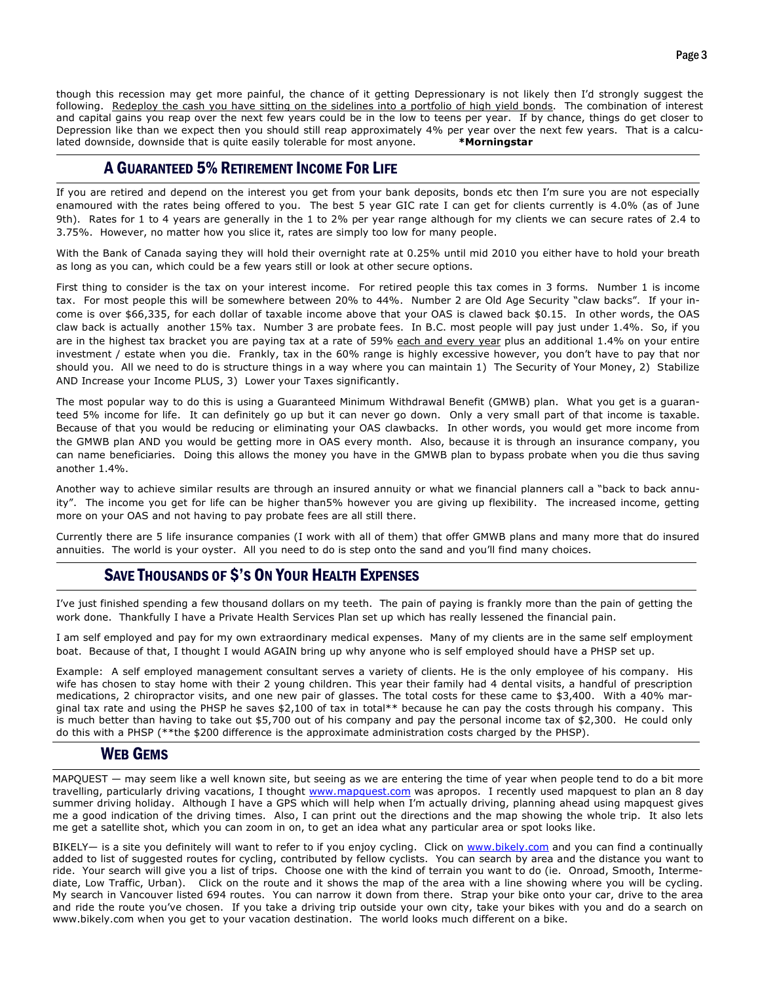though this recession may get more painful, the chance of it getting Depressionary is not likely then I'd strongly suggest the following. Redeploy the cash you have sitting on the sidelines into a portfolio of high yield bonds. The combination of interest and capital gains you reap over the next few years could be in the low to teens per year. If by chance, things do get closer to Depression like than we expect then you should still reap approximately 4% per year over the next few years. That is a calculated downside, downside that is quite easily tolerable for most anyone. \*\* Morningstar

#### A GUARANTEED 5% RETIREMENT INCOME FOR LIFE

If you are retired and depend on the interest you get from your bank deposits, bonds etc then I'm sure you are not especially enamoured with the rates being offered to you. The best 5 year GIC rate I can get for clients currently is 4.0% (as of June 9th). Rates for 1 to 4 years are generally in the 1 to 2% per year range although for my clients we can secure rates of 2.4 to 3.75%. However, no matter how you slice it, rates are simply too low for many people.

With the Bank of Canada saying they will hold their overnight rate at 0.25% until mid 2010 you either have to hold your breath as long as you can, which could be a few years still or look at other secure options.

First thing to consider is the tax on your interest income. For retired people this tax comes in 3 forms. Number 1 is income tax. For most people this will be somewhere between 20% to 44%. Number 2 are Old Age Security "claw backs". If your income is over \$66,335, for each dollar of taxable income above that your OAS is clawed back \$0.15. In other words, the OAS claw back is actually another 15% tax. Number 3 are probate fees. In B.C. most people will pay just under 1.4%. So, if you are in the highest tax bracket you are paying tax at a rate of 59% each and every year plus an additional 1.4% on your entire investment / estate when you die. Frankly, tax in the 60% range is highly excessive however, you don't have to pay that nor should you. All we need to do is structure things in a way where you can maintain 1) The Security of Your Money, 2) Stabilize AND Increase your Income PLUS, 3) Lower your Taxes significantly.

The most popular way to do this is using a Guaranteed Minimum Withdrawal Benefit (GMWB) plan. What you get is a guaranteed 5% income for life. It can definitely go up but it can never go down. Only a very small part of that income is taxable. Because of that you would be reducing or eliminating your OAS clawbacks. In other words, you would get more income from the GMWB plan AND you would be getting more in OAS every month. Also, because it is through an insurance company, you can name beneficiaries. Doing this allows the money you have in the GMWB plan to bypass probate when you die thus saving another 1.4%.

Another way to achieve similar results are through an insured annuity or what we financial planners call a "back to back annuity". The income you get for life can be higher than5% however you are giving up flexibility. The increased income, getting more on your OAS and not having to pay probate fees are all still there.

Currently there are 5 life insurance companies (I work with all of them) that offer GMWB plans and many more that do insured annuities. The world is your oyster. All you need to do is step onto the sand and you'll find many choices.

## SAVE THOUSANDS OF \$'S ON YOUR HEALTH EXPENSES

I've just finished spending a few thousand dollars on my teeth. The pain of paying is frankly more than the pain of getting the work done. Thankfully I have a Private Health Services Plan set up which has really lessened the financial pain.

I am self employed and pay for my own extraordinary medical expenses. Many of my clients are in the same self employment boat. Because of that, I thought I would AGAIN bring up why anyone who is self employed should have a PHSP set up.

Example: A self employed management consultant serves a variety of clients. He is the only employee of his company. His wife has chosen to stay home with their 2 young children. This year their family had 4 dental visits, a handful of prescription medications, 2 chiropractor visits, and one new pair of glasses. The total costs for these came to \$3,400. With a 40% marginal tax rate and using the PHSP he saves \$2,100 of tax in total\*\* because he can pay the costs through his company. This is much better than having to take out \$5,700 out of his company and pay the personal income tax of \$2,300. He could only do this with a PHSP (\*\*the \$200 difference is the approximate administration costs charged by the PHSP).

#### WEB GEMS

MAPQUEST — may seem like a well known site, but seeing as we are entering the time of year when people tend to do a bit more travelling, particularly driving vacations, I thought www.mapquest.com was apropos. I recently used mapquest to plan an 8 day summer driving holiday. Although I have a GPS which will help when I'm actually driving, planning ahead using mapquest gives me a good indication of the driving times. Also, I can print out the directions and the map showing the whole trip. It also lets me get a satellite shot, which you can zoom in on, to get an idea what any particular area or spot looks like.

BIKELY- is a site you definitely will want to refer to if you enjoy cycling. Click on www.bikely.com and you can find a continually added to list of suggested routes for cycling, contributed by fellow cyclists. You can search by area and the distance you want to ride. Your search will give you a list of trips. Choose one with the kind of terrain you want to do (ie. Onroad, Smooth, Intermediate, Low Traffic, Urban). Click on the route and it shows the map of the area with a line showing where you will be cycling. My search in Vancouver listed 694 routes. You can narrow it down from there. Strap your bike onto your car, drive to the area and ride the route you've chosen. If you take a driving trip outside your own city, take your bikes with you and do a search on www.bikely.com when you get to your vacation destination. The world looks much different on a bike.